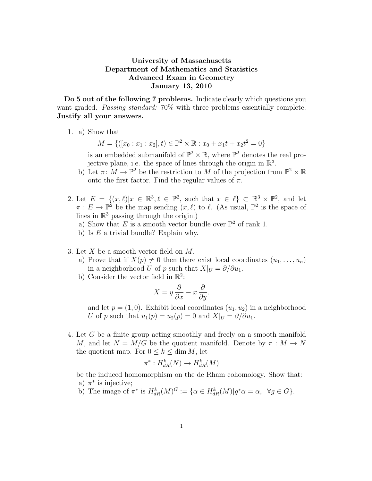## University of Massachusetts Department of Mathematics and Statistics Advanced Exam in Geometry January 13, 2010

Do 5 out of the following 7 problems. Indicate clearly which questions you want graded. *Passing standard:* 70% with three problems essentially complete. Justify all your answers.

1. a) Show that

 $M = \{([x_0 : x_1 : x_2], t) \in \mathbb{P}^2 \times \mathbb{R} : x_0 + x_1 t + x_2 t^2 = 0\}$ 

is an embedded submanifold of  $\mathbb{P}^2 \times \mathbb{R}$ , where  $\mathbb{P}^2$  denotes the real projective plane, i.e. the space of lines through the origin in  $\mathbb{R}^3$ .

- b) Let  $\pi \colon M \to \mathbb{P}^2$  be the restriction to M of the projection from  $\mathbb{P}^2 \times \mathbb{R}$ onto the first factor. Find the regular values of  $\pi$ .
- 2. Let  $E = \{(x,\ell)|x \in \mathbb{R}^3, \ell \in \mathbb{P}^2, \text{ such that } x \in \ell\} \subset \mathbb{R}^3 \times \mathbb{P}^2, \text{ and let }$  $\pi: E \to \mathbb{P}^2$  be the map sending  $(x, \ell)$  to  $\ell$ . (As usual,  $\mathbb{P}^2$  is the space of lines in  $\mathbb{R}^3$  passing through the origin.)
	- a) Show that E is a smooth vector bundle over  $\mathbb{P}^2$  of rank 1.
	- b) Is E a trivial bundle? Explain why.
- 3. Let X be a smooth vector field on M.
	- a) Prove that if  $X(p) \neq 0$  then there exist local coordinates  $(u_1, \ldots, u_n)$ in a neighborhood U of p such that  $X|_U = \partial/\partial u_1$ .
	- b) Consider the vector field in  $\mathbb{R}^2$ :

$$
X = y\frac{\partial}{\partial x} - x\frac{\partial}{\partial y}.
$$

and let  $p = (1, 0)$ . Exhibit local coordinates  $(u_1, u_2)$  in a neighborhood U of p such that  $u_1(p) = u_2(p) = 0$  and  $X|_U = \partial/\partial u_1$ .

4. Let G be a finite group acting smoothly and freely on a smooth manifold M, and let  $N = M/G$  be the quotient manifold. Denote by  $\pi : M \to N$ the quotient map. For  $0 \leq k \leq \dim M$ , let

$$
\pi^*: H^k_{dR}(N) \to H^k_{dR}(M)
$$

be the induced homomorphism on the de Rham cohomology. Show that: a)  $\pi^*$  is injective;

b) The image of  $\pi^*$  is  $H_{dR}^k(M)^G := \{ \alpha \in H_{dR}^k(M) | g^* \alpha = \alpha, \ \forall g \in G \}.$